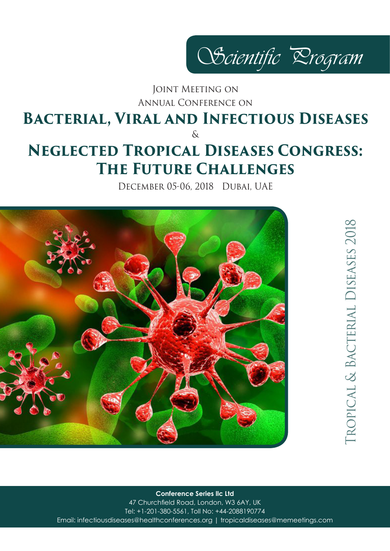

# Annual Conference on JOINT MEETING ON

## **Bacterial, Viral and Infectious Diseases**  $\delta$

# **Neglected Tropical Diseases Congress: The Future Challenges**

December 05-06, 2018 Dubai, UAE



**ROPICAL & BACTERIAL DISEASES 2018** Tropical & Bacterial Diseases 2018

**Conference Series llc Ltd**

47 Churchfield Road, London, W3 6AY, UK Tel: +1-201-380-5561, Toll No: +44-2088190774 Email: infectiousdiseases@healthconferences.org | tropicaldiseases@memeetings.com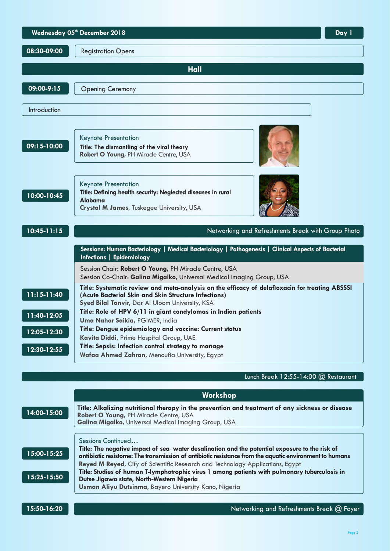|                                               | Wednesday 05th December 2018<br>Day 1                                                                                                                                                                                                                                                                                                                                                                               |  |  |
|-----------------------------------------------|---------------------------------------------------------------------------------------------------------------------------------------------------------------------------------------------------------------------------------------------------------------------------------------------------------------------------------------------------------------------------------------------------------------------|--|--|
| 08:30-09:00                                   | <b>Registration Opens</b>                                                                                                                                                                                                                                                                                                                                                                                           |  |  |
| <b>Hall</b>                                   |                                                                                                                                                                                                                                                                                                                                                                                                                     |  |  |
| 09:00-9:15                                    | <b>Opening Ceremony</b>                                                                                                                                                                                                                                                                                                                                                                                             |  |  |
| Introduction                                  |                                                                                                                                                                                                                                                                                                                                                                                                                     |  |  |
| 09:15-10:00                                   | <b>Keynote Presentation</b><br>Title: The dismantling of the viral theory<br>Robert O Young, PH Miracle Centre, USA                                                                                                                                                                                                                                                                                                 |  |  |
| 10:00-10:45                                   | <b>Keynote Presentation</b><br>Title: Defining health security: Neglected diseases in rural<br>Alabama<br>Crystal M James, Tuskegee University, USA                                                                                                                                                                                                                                                                 |  |  |
| $10:45 - 11:15$                               | Networking and Refreshments Break with Group Photo                                                                                                                                                                                                                                                                                                                                                                  |  |  |
|                                               | Sessions: Human Bacteriology   Medical Bacteriology   Pathogenesis   Clinical Aspects of Bacterial<br>Infections   Epidemiology                                                                                                                                                                                                                                                                                     |  |  |
|                                               | Session Chair: Robert O Young, PH Miracle Centre, USA<br>Session Co-Chair: Galina Migalko, Universal Medical Imaging Group, USA                                                                                                                                                                                                                                                                                     |  |  |
| $11:15 - 11:40$<br>11:40-12:05<br>12:05-12:30 | Title: Systematic review and meta-analysis on the efficacy of delafloxacin for treating ABSSSI<br>(Acute Bacterial Skin and Skin Structure Infections)<br>Syed Bilal Tanvir, Dar Al Uloom University, KSA<br>Title: Role of HPV 6/11 in giant condylomas in Indian patients<br>Uma Nahar Saikia, PGIMER, India<br>Title: Dengue epidemiology and vaccine: Current status<br>Kavita Diddi, Prime Hospital Group, UAE |  |  |
| 12:30-12:55                                   | Title: Sepsis: Infection control strategy to manage<br>Wafaa Ahmed Zahran, Menoufia University, Egypt                                                                                                                                                                                                                                                                                                               |  |  |

### Lunch Break 12:55-14:00 @ Restaurant

|             | Workshop                                                                                                                                                                                                                                                                             |
|-------------|--------------------------------------------------------------------------------------------------------------------------------------------------------------------------------------------------------------------------------------------------------------------------------------|
| 14:00-15:00 | Title: Alkalizing nutritional therapy in the prevention and treatment of any sickness or disease<br>Robert O Young, PH Miracle Centre, USA<br>Galina Migalko, Universal Medical Imaging Group, USA                                                                                   |
| 15:00-15:25 | Sessions Continued<br>Title: The negative impact of sea water desalination and the potential exposure to the risk of<br>antibiotic resistome: The transmission of antibiotic resistance from the aquatic environment to humans                                                       |
| 15:25-15:50 | Reyed M Reyed, City of Scientific Research and Technology Applications, Egypt<br>Title: Studies of human T-lymphotrophic virus 1 among patients with pulmonary tuberculosis in<br>Dutse Jigawa state, North-Western Nigeria<br>Usman Aliyu Dutsinma, Bayero University Kano, Nigeria |
| 15:50-16:20 | Networking and Refreshments Break @ Foyer                                                                                                                                                                                                                                            |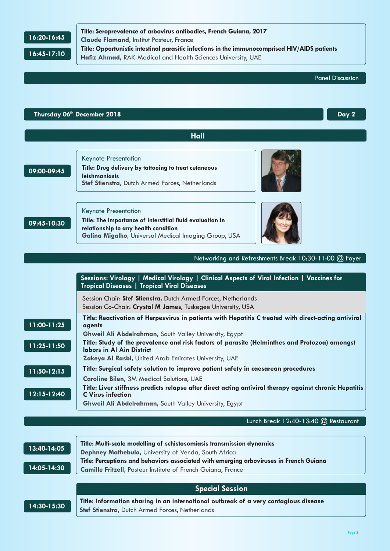### **16:20-16:45**

**Title: Seroprevalence of arbovirus antibodies, French Guiana, 2017 Claude Flamand,** Institut Pasteur, France **Title: Opportunistic intestinal parasitic infections in the immunocomprised HIV/AIDS patients Hafiz Ahmad,** RAK-Medical and Health Sciences University, UAE



|                                | Thursday 06th December 2018<br>Day 2                                                                                                                                                                                                                                                                                                                                   |
|--------------------------------|------------------------------------------------------------------------------------------------------------------------------------------------------------------------------------------------------------------------------------------------------------------------------------------------------------------------------------------------------------------------|
|                                | <b>Hall</b>                                                                                                                                                                                                                                                                                                                                                            |
|                                |                                                                                                                                                                                                                                                                                                                                                                        |
| 09:00-09:45                    | <b>Keynote Presentation</b><br>Title: Drug delivery by tattooing to treat cutaneous<br><b>leishmaniasis</b><br>Stef Stienstra, Dutch Armed Forces, Netherlands                                                                                                                                                                                                         |
| 09:45-10:30                    | <b>Keynote Presentation</b><br>Title: The Importance of interstitial fluid evaluation in<br>relationship to any health condition<br>Galina Migalko, Universal Medical Imaging Group, USA                                                                                                                                                                               |
|                                | Networking and Refreshments Break 10:30-11:00 @ Foyer                                                                                                                                                                                                                                                                                                                  |
|                                | Sessions: Virology   Medical Virology   Clinical Aspects of Viral Infection   Vaccines for<br><b>Tropical Diseases   Tropical Viral Diseases</b>                                                                                                                                                                                                                       |
|                                | Session Chair: Stef Stienstra, Dutch Armed Forces, Netherlands<br>Session Co-Chair: Crystal M James, Tuskegee University, USA                                                                                                                                                                                                                                          |
| 11:00-11:25<br>$11:25 - 11:50$ | Title: Reactivation of Herpesvirus in patients with Hepatitis C treated with direct-acting antiviral<br>agents<br>Ghweil Ali Abdelrahman, South Valley University, Egypt<br>Title: Study of the prevalence and risk factors of parasite (Helminthes and Protozoa) amongst<br><b>Iabors in Al Ain District</b><br>Zakeya Al Rasbi, United Arab Emirates University, UAE |
| $11:50-12:15$                  | Title: Surgical safety solution to improve patient safety in caesarean procedures<br><b>Caroline Bilen, 3M Medical Solutions, UAE</b>                                                                                                                                                                                                                                  |
| 12:15-12:40                    | Title: Liver stiffness predicts relapse after direct acting antiviral therapy against chronic Hepatitis<br><b>C</b> Virus infection<br>Ghweil Ali Abdelrahman, South Valley University, Egypt                                                                                                                                                                          |
|                                | Lunch Break 12:40-13:40 @ Restaurant                                                                                                                                                                                                                                                                                                                                   |
| $13:40 - 14:05$<br>14:05-14:30 | Title: Multi-scale modelling of schistosomiasis transmission dynamics<br>Dephney Mathebula, University of Venda, South Africa<br>Title: Perceptions and behaviors associated with emerging arboviruses in French Guiana<br><b>Camille Fritzell, Pasteur Institute of French Guiana, France</b>                                                                         |
|                                | <b>Special Session</b>                                                                                                                                                                                                                                                                                                                                                 |
| 14:30-15:30                    | Title: Information sharing in an international outbreak of a very contagious disease<br>Stef Stienstra, Dutch Armed Forces, Netherlands                                                                                                                                                                                                                                |